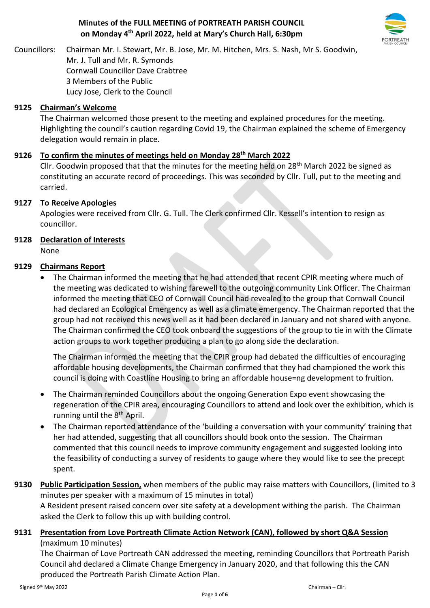### **Minutes of the FULL MEETING of PORTREATH PARISH COUNCIL on Monday 4 th April 2022, held at Mary's Church Hall, 6:30pm**



Councillors: Chairman Mr. I. Stewart, Mr. B. Jose, Mr. M. Hitchen, Mrs. S. Nash, Mr S. Goodwin, Mr. J. Tull and Mr. R. Symonds Cornwall Councillor Dave Crabtree 3 Members of the Public Lucy Jose, Clerk to the Council

### **9125 Chairman's Welcome**

The Chairman welcomed those present to the meeting and explained procedures for the meeting. Highlighting the council's caution regarding Covid 19, the Chairman explained the scheme of Emergency delegation would remain in place.

### **9126 To confirm the minutes of meetings held on Monday 28th March 2022**

Cllr. Goodwin proposed that that the minutes for the meeting held on 28<sup>th</sup> March 2022 be signed as constituting an accurate record of proceedings. This was seconded by Cllr. Tull, put to the meeting and carried.

### **9127 To Receive Apologies**

Apologies were received from Cllr. G. Tull. The Clerk confirmed Cllr. Kessell's intention to resign as councillor.

### **9128 Declaration of Interests**

None

#### **9129 Chairmans Report**

• The Chairman informed the meeting that he had attended that recent CPIR meeting where much of the meeting was dedicated to wishing farewell to the outgoing community Link Officer. The Chairman informed the meeting that CEO of Cornwall Council had revealed to the group that Cornwall Council had declared an Ecological Emergency as well as a climate emergency. The Chairman reported that the group had not received this news well as it had been declared in January and not shared with anyone. The Chairman confirmed the CEO took onboard the suggestions of the group to tie in with the Climate action groups to work together producing a plan to go along side the declaration.

The Chairman informed the meeting that the CPIR group had debated the difficulties of encouraging affordable housing developments, the Chairman confirmed that they had championed the work this council is doing with Coastline Housing to bring an affordable house=ng development to fruition.

- The Chairman reminded Councillors about the ongoing Generation Expo event showcasing the regeneration of the CPIR area, encouraging Councillors to attend and look over the exhibition, which is running until the 8<sup>th</sup> April.
- The Chairman reported attendance of the 'building a conversation with your community' training that her had attended, suggesting that all councillors should book onto the session. The Chairman commented that this council needs to improve community engagement and suggested looking into the feasibility of conducting a survey of residents to gauge where they would like to see the precept spent.

### **9130 Public Participation Session,** when members of the public may raise matters with Councillors, (limited to 3 minutes per speaker with a maximum of 15 minutes in total) A Resident present raised concern over site safety at a development withing the parish. The Chairman asked the Clerk to follow this up with building control.

### **9131 Presentation from Love Portreath Climate Action Network (CAN), followed by short Q&A Session** (maximum 10 minutes)

The Chairman of Love Portreath CAN addressed the meeting, reminding Councillors that Portreath Parish Council ahd declared a Climate Change Emergency in January 2020, and that following this the CAN produced the Portreath Parish Climate Action Plan.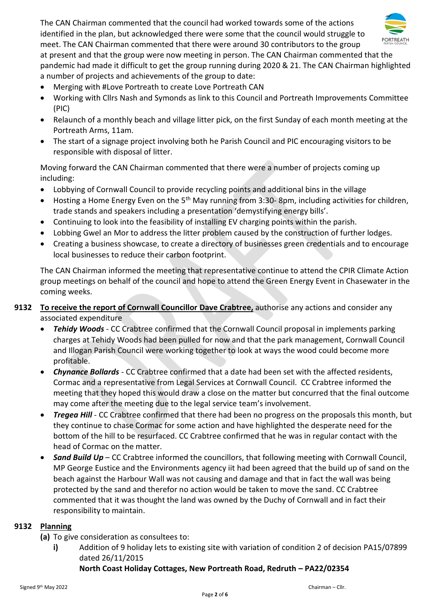

The CAN Chairman commented that the council had worked towards some of the actions identified in the plan, but acknowledged there were some that the council would struggle to meet. The CAN Chairman commented that there were around 30 contributors to the group at present and that the group were now meeting in person. The CAN Chairman commented that the pandemic had made it difficult to get the group running during 2020 & 21. The CAN Chairman highlighted a number of projects and achievements of the group to date:

- Merging with #Love Portreath to create Love Portreath CAN
- Working with Cllrs Nash and Symonds as link to this Council and Portreath Improvements Committee (PIC)
- Relaunch of a monthly beach and village litter pick, on the first Sunday of each month meeting at the Portreath Arms, 11am.
- The start of a signage project involving both he Parish Council and PIC encouraging visitors to be responsible with disposal of litter.

Moving forward the CAN Chairman commented that there were a number of projects coming up including:

- Lobbying of Cornwall Council to provide recycling points and additional bins in the village
- Hosting a Home Energy Even on the 5th May running from 3:30- 8pm, including activities for children, trade stands and speakers including a presentation 'demystifying energy bills'.
- Continuing to look into the feasibility of installing EV charging points within the parish.
- Lobbing Gwel an Mor to address the litter problem caused by the construction of further lodges.
- Creating a business showcase, to create a directory of businesses green credentials and to encourage local businesses to reduce their carbon footprint.

The CAN Chairman informed the meeting that representative continue to attend the CPIR Climate Action group meetings on behalf of the council and hope to attend the Green Energy Event in Chasewater in the coming weeks.

### **9132 To receive the report of Cornwall Councillor Dave Crabtree,** authorise any actions and consider any associated expenditure

- *Tehidy Woods* CC Crabtree confirmed that the Cornwall Council proposal in implements parking charges at Tehidy Woods had been pulled for now and that the park management, Cornwall Council and Illogan Parish Council were working together to look at ways the wood could become more profitable.
- *Chynance Bollards* CC Crabtree confirmed that a date had been set with the affected residents, Cormac and a representative from Legal Services at Cornwall Council. CC Crabtree informed the meeting that they hoped this would draw a close on the matter but concurred that the final outcome may come after the meeting due to the legal service team's involvement.
- *Tregea Hill* CC Crabtree confirmed that there had been no progress on the proposals this month, but they continue to chase Cormac for some action and have highlighted the desperate need for the bottom of the hill to be resurfaced. CC Crabtree confirmed that he was in regular contact with the head of Cormac on the matter.
- *Sand Build Up CC Crabtree informed the councillors, that following meeting with Cornwall Council,* MP George Eustice and the Environments agency iit had been agreed that the build up of sand on the beach against the Harbour Wall was not causing and damage and that in fact the wall was being protected by the sand and therefor no action would be taken to move the sand. CC Crabtree commented that it was thought the land was owned by the Duchy of Cornwall and in fact their responsibility to maintain.

#### **9132 Planning**

- **(a)** To give consideration as consultees to:
	- **i)** Addition of 9 holiday lets to existing site with variation of condition 2 of decision PA15/07899 dated 26/11/2015

#### **North Coast Holiday Cottages, New Portreath Road, Redruth – PA22/02354**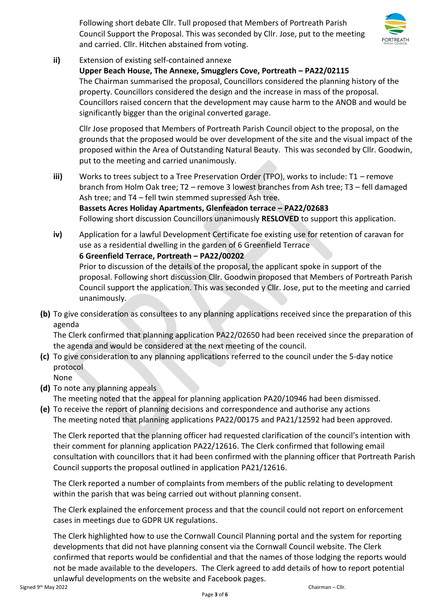Following short debate Cllr. Tull proposed that Members of Portreath Parish Council Support the Proposal. This was seconded by Cllr. Jose, put to the meeting and carried. Cllr. Hitchen abstained from voting.



**ii)** Extension of existing self-contained annexe

**Upper Beach House, The Annexe, Smugglers Cove, Portreath – PA22/02115** The Chairman summarised the proposal, Councillors considered the planning history of the property. Councillors considered the design and the increase in mass of the proposal. Councillors raised concern that the development may cause harm to the ANOB and would be significantly bigger than the original converted garage.

Cllr Jose proposed that Members of Portreath Parish Council object to the proposal, on the grounds that the proposed would be over development of the site and the visual impact of the proposed within the Area of Outstanding Natural Beauty. This was seconded by Cllr. Goodwin, put to the meeting and carried unanimously.

- **iii)** Works to trees subject to a Tree Preservation Order (TPO), works to include: T1 remove branch from Holm Oak tree; T2 – remove 3 lowest branches from Ash tree; T3 – fell damaged Ash tree; and T4 – fell twin stemmed supressed Ash tree. **Bassets Acres Holiday Apartments, Glenfeadon terrace – PA22/02683** Following short discussion Councillors unanimously **RESLOVED** to support this application.
- **iv)** Application for a lawful Development Certificate foe existing use for retention of caravan for use as a residential dwelling in the garden of 6 Greenfield Terrace **6 Greenfield Terrace, Portreath – PA22/00202** Prior to discussion of the details of the proposal, the applicant spoke in support of the proposal. Following short discussion Cllr. Goodwin proposed that Members of Portreath Parish Council support the application. This was seconded y Cllr. Jose, put to the meeting and carried unanimously.
- **(b)** To give consideration as consultees to any planning applications received since the preparation of this agenda

The Clerk confirmed that planning application PA22/02650 had been received since the preparation of the agenda and would be considered at the next meeting of the council.

- **(c)** To give consideration to any planning applications referred to the council under the 5-day notice protocol
	- None
- **(d)** To note any planning appeals

The meeting noted that the appeal for planning application PA20/10946 had been dismissed.

**(e)** To receive the report of planning decisions and correspondence and authorise any actions The meeting noted that planning applications PA22/00175 and PA21/12592 had been approved.

The Clerk reported that the planning officer had requested clarification of the council's intention with their comment for planning application PA22/12616. The Clerk confirmed that following email consultation with councillors that it had been confirmed with the planning officer that Portreath Parish Council supports the proposal outlined in application PA21/12616.

The Clerk reported a number of complaints from members of the public relating to development within the parish that was being carried out without planning consent.

The Clerk explained the enforcement process and that the council could not report on enforcement cases in meetings due to GDPR UK regulations.

The Clerk highlighted how to use the Cornwall Council Planning portal and the system for reporting developments that did not have planning consent via the Cornwall Council website. The Clerk confirmed that reports would be confidential and that the names of those lodging the reports would not be made available to the developers. The Clerk agreed to add details of how to report potential unlawful developments on the website and Facebook pages.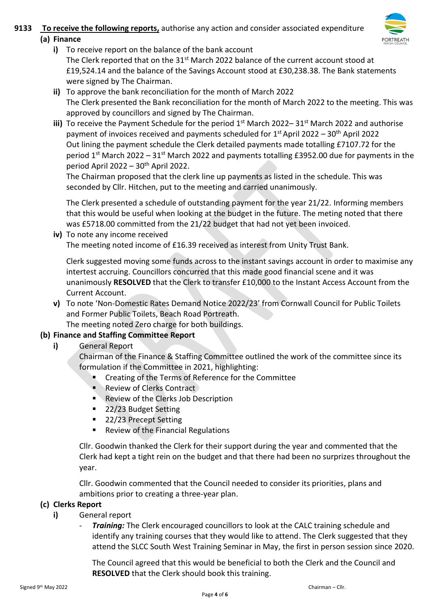# **9133 To receive the following reports,** authorise any action and consider associated expenditure



- **(a) Finance** 
	- **i)** To receive report on the balance of the bank account The Clerk reported that on the  $31^{st}$  March 2022 balance of the current account stood at £19,524.14 and the balance of the Savings Account stood at £30,238.38. The Bank statements were signed by The Chairman.
	- **ii)** To approve the bank reconciliation for the month of March 2022 The Clerk presented the Bank reconciliation for the month of March 2022 to the meeting. This was approved by councillors and signed by The Chairman.
	- iii) To receive the Payment Schedule for the period 1<sup>st</sup> March 2022–31<sup>st</sup> March 2022 and authorise payment of invoices received and payments scheduled for 1<sup>st</sup> April 2022 – 30<sup>th</sup> April 2022 Out lining the payment schedule the Clerk detailed payments made totalling £7107.72 for the period 1<sup>st</sup> March 2022 – 31<sup>st</sup> March 2022 and payments totalling £3952.00 due for payments in the period April 2022 –  $30<sup>th</sup>$  April 2022.

The Chairman proposed that the clerk line up payments as listed in the schedule. This was seconded by Cllr. Hitchen, put to the meeting and carried unanimously.

The Clerk presented a schedule of outstanding payment for the year 21/22. Informing members that this would be useful when looking at the budget in the future. The meting noted that there was £5718.00 committed from the 21/22 budget that had not yet been invoiced.

**iv)** To note any income received The meeting noted income of £16.39 received as interest from Unity Trust Bank.

Clerk suggested moving some funds across to the instant savings account in order to maximise any intertest accruing. Councillors concurred that this made good financial scene and it was unanimously **RESOLVED** that the Clerk to transfer £10,000 to the Instant Access Account from the Current Account.

**v)** To note 'Non-Domestic Rates Demand Notice 2022/23' from Cornwall Council for Public Toilets and Former Public Toilets, Beach Road Portreath.

The meeting noted Zero charge for both buildings.

### **(b) Finance and Staffing Committee Report**

**i)** General Report

Chairman of the Finance & Staffing Committee outlined the work of the committee since its formulation if the Committee in 2021, highlighting:

- Creating of the Terms of Reference for the Committee
- Review of Clerks Contract
- Review of the Clerks Job Description
- 22/23 Budget Setting
- 22/23 Precept Setting
- Review of the Financial Regulations

Cllr. Goodwin thanked the Clerk for their support during the year and commented that the Clerk had kept a tight rein on the budget and that there had been no surprizes throughout the year.

Cllr. Goodwin commented that the Council needed to consider its priorities, plans and ambitions prior to creating a three-year plan.

### **(c) Clerks Report**

- **i)** General report
	- *Training:* The Clerk encouraged councillors to look at the CALC training schedule and identify any training courses that they would like to attend. The Clerk suggested that they attend the SLCC South West Training Seminar in May, the first in person session since 2020.

The Council agreed that this would be beneficial to both the Clerk and the Council and **RESOLVED** that the Clerk should book this training.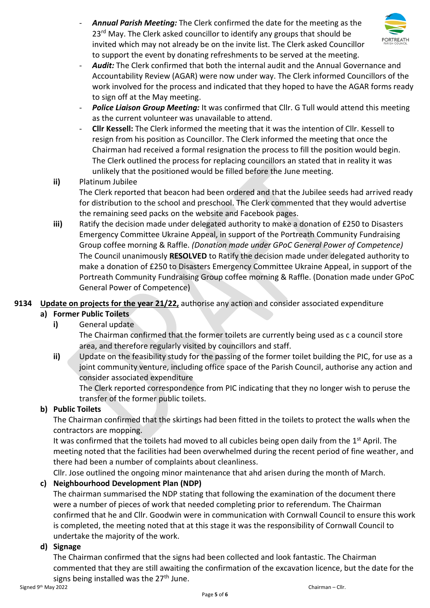

- *Annual Parish Meeting:* The Clerk confirmed the date for the meeting as the 23<sup>rd</sup> May. The Clerk asked councillor to identify any groups that should be invited which may not already be on the invite list. The Clerk asked Councillor to support the event by donating refreshments to be served at the meeting.
- Audit: The Clerk confirmed that both the internal audit and the Annual Governance and Accountability Review (AGAR) were now under way. The Clerk informed Councillors of the work involved for the process and indicated that they hoped to have the AGAR forms ready to sign off at the May meeting.
- Police Liaison Group Meeting: It was confirmed that Cllr. G Tull would attend this meeting as the current volunteer was unavailable to attend.
- **Cllr Kessell:** The Clerk informed the meeting that it was the intention of Cllr. Kessell to resign from his position as Councillor. The Clerk informed the meeting that once the Chairman had received a formal resignation the process to fill the position would begin. The Clerk outlined the process for replacing councillors an stated that in reality it was unlikely that the positioned would be filled before the June meeting.
- **ii)** Platinum Jubilee

The Clerk reported that beacon had been ordered and that the Jubilee seeds had arrived ready for distribution to the school and preschool. The Clerk commented that they would advertise the remaining seed packs on the website and Facebook pages.

**iii)** Ratify the decision made under delegated authority to make a donation of £250 to Disasters Emergency Committee Ukraine Appeal, in support of the Portreath Community Fundraising Group coffee morning & Raffle. *(Donation made under GPoC General Power of Competence)* The Council unanimously **RESOLVED** to Ratify the decision made under delegated authority to make a donation of £250 to Disasters Emergency Committee Ukraine Appeal, in support of the Portreath Community Fundraising Group coffee morning & Raffle. (Donation made under GPoC General Power of Competence)

### **9134 Update on projects for the year 21/22,** authorise any action and consider associated expenditure

# **a) Former Public Toilets**

# **i)** General update

The Chairman confirmed that the former toilets are currently being used as c a council store area, and therefore regularly visited by councillors and staff.

**ii)** Update on the feasibility study for the passing of the former toilet building the PIC, for use as a joint community venture, including office space of the Parish Council, authorise any action and consider associated expenditure

The Clerk reported correspondence from PIC indicating that they no longer wish to peruse the transfer of the former public toilets.

# **b) Public Toilets**

The Chairman confirmed that the skirtings had been fitted in the toilets to protect the walls when the contractors are mopping.

It was confirmed that the toilets had moved to all cubicles being open daily from the 1<sup>st</sup> April. The meeting noted that the facilities had been overwhelmed during the recent period of fine weather, and there had been a number of complaints about cleanliness.

Cllr. Jose outlined the ongoing minor maintenance that ahd arisen during the month of March.

# **c) Neighbourhood Development Plan (NDP)**

The chairman summarised the NDP stating that following the examination of the document there were a number of pieces of work that needed completing prior to referendum. The Chairman confirmed that he and Cllr. Goodwin were in communication with Cornwall Council to ensure this work is completed, the meeting noted that at this stage it was the responsibility of Cornwall Council to undertake the majority of the work.

### **d) Signage**

The Chairman confirmed that the signs had been collected and look fantastic. The Chairman commented that they are still awaiting the confirmation of the excavation licence, but the date for the signs being installed was the  $27<sup>th</sup>$  June.